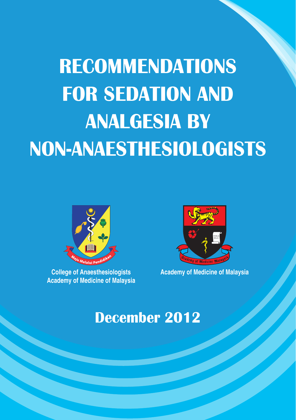# **RECOMMENDATIONS FOR SEDATION AND ANALGESIA BY NON-ANAESTHESIOLOGISTS**



**Academy of Medicine of Malaysia**



**College of Anaesthesiologists Academy of Medicine of Malaysia**

# **December 2012**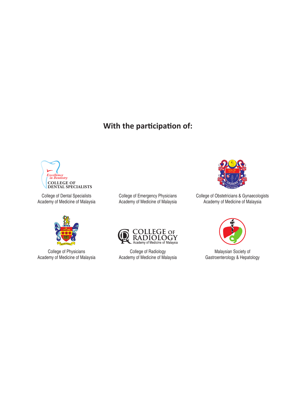#### **With the participation of:**



College of Dental Specialists Academy of Medicine of Malaysia



College of Physicians Academy of Medicine of Malaysia

College of Emergency Physicians Academy of Medicine of Malaysia



College of Radiology Academy of Medicine of Malaysia



College of Obstetricians & Gynaecologists Academy of Medicine of Malaysia



Malaysian Society of Gastroenterology & Hepatology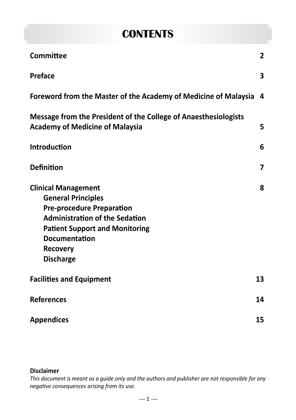### **CONTENTS**

| Committee                                                                                                                                                                                                                                    | $\overline{2}$ |
|----------------------------------------------------------------------------------------------------------------------------------------------------------------------------------------------------------------------------------------------|----------------|
| Preface                                                                                                                                                                                                                                      | 3              |
| Foreword from the Master of the Academy of Medicine of Malaysia                                                                                                                                                                              | 4              |
| Message from the President of the College of Anaesthesiologists<br><b>Academy of Medicine of Malaysia</b>                                                                                                                                    | 5              |
| <b>Introduction</b>                                                                                                                                                                                                                          | 6              |
| <b>Definition</b>                                                                                                                                                                                                                            | 7              |
| <b>Clinical Management</b><br><b>General Principles</b><br><b>Pre-procedure Preparation</b><br><b>Administration of the Sedation</b><br><b>Patient Support and Monitoring</b><br><b>Documentation</b><br><b>Recovery</b><br><b>Discharge</b> | 8              |
| <b>Facilities and Equipment</b>                                                                                                                                                                                                              | 13             |
| <b>References</b>                                                                                                                                                                                                                            | 14             |
| <b>Appendices</b>                                                                                                                                                                                                                            | 15             |

#### **Disclaimer**

*This document is meant as a guide only and the authors and publisher are not responsible for any negative consequences arising from its use.*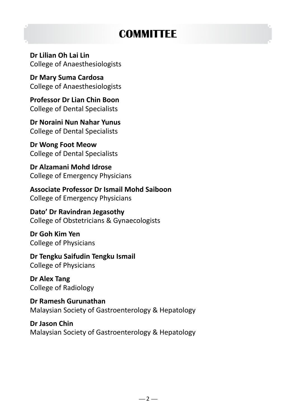# **COMMITTEE**

**Dr Lilian Oh Lai Lin** College of Anaesthesiologists

**Dr Mary Suma Cardosa** College of Anaesthesiologists

**Professor Dr Lian Chin Boon** College of Dental Specialists

**Dr Noraini Nun Nahar Yunus** College of Dental Specialists

**Dr Wong Foot Meow** College of Dental Specialists

**Dr Alzamani Mohd Idrose** College of Emergency Physicians

**Associate Professor Dr Ismail Mohd Saiboon** College of Emergency Physicians

**Dato' Dr Ravindran Jegasothy** College of Obstetricians & Gynaecologists

**Dr Goh Kim Yen** College of Physicians

**Dr Tengku Saifudin Tengku Ismail** College of Physicians

**Dr Alex Tang** College of Radiology

**Dr Ramesh Gurunathan** Malaysian Society of Gastroenterology & Hepatology

**Dr Jason Chin** Malaysian Society of Gastroenterology & Hepatology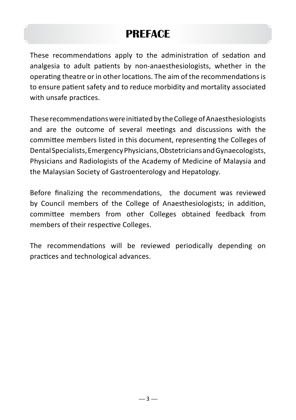### **PREFACE**

These recommendations apply to the administration of sedation and analgesia to adult patients by non-anaesthesiologists, whether in the operating theatre or in other locations. The aim of the recommendations is to ensure patient safety and to reduce morbidity and mortality associated with unsafe practices.

These recommendations were initiated by the College of Anaesthesiologists and are the outcome of several meetings and discussions with the committee members listed in this document, representing the Colleges of Dental Specialists, Emergency Physicians, Obstetricians and Gynaecologists, Physicians and Radiologists of the Academy of Medicine of Malaysia and the Malaysian Society of Gastroenterology and Hepatology.

Before finalizing the recommendations, the document was reviewed by Council members of the College of Anaesthesiologists; in addition, committee members from other Colleges obtained feedback from members of their respective Colleges.

The recommendations will be reviewed periodically depending on practices and technological advances.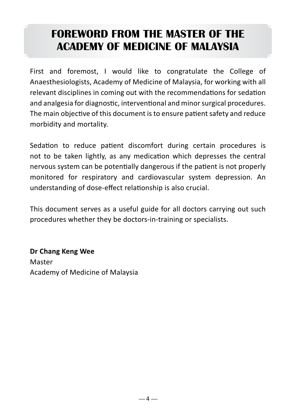# **FOREWORD FROM THE MASTER OF THE ACADEMY OF MEDICINE OF MALAYSIA**

First and foremost, I would like to congratulate the College of Anaesthesiologists, Academy of Medicine of Malaysia, for working with all relevant disciplines in coming out with the recommendations for sedation and analgesia for diagnostic, interventional and minor surgical procedures. The main objective of this document is to ensure patient safety and reduce morbidity and mortality.

Sedation to reduce patient discomfort during certain procedures is not to be taken lightly, as any medication which depresses the central nervous system can be potentially dangerous if the patient is not properly monitored for respiratory and cardiovascular system depression. An understanding of dose-effect relationship is also crucial.

This document serves as a useful guide for all doctors carrying out such procedures whether they be doctors-in-training or specialists.

**Dr Chang Keng Wee** Master Academy of Medicine of Malaysia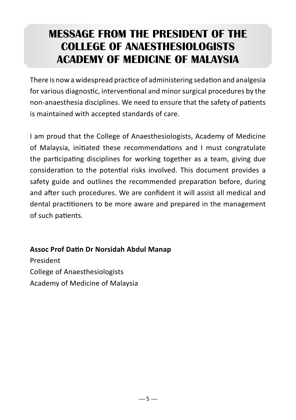### **MESSAGE FROM THE PRESIDENT OF THE COLLEGE OF ANAESTHESIOLOGISTS ACADEMY OF MEDICINE OF MALAYSIA**

There is now a widespread practice of administering sedation and analgesia for various diagnostic, interventional and minor surgical procedures by the non-anaesthesia disciplines. We need to ensure that the safety of patients is maintained with accepted standards of care.

I am proud that the College of Anaesthesiologists, Academy of Medicine of Malaysia, initiated these recommendations and I must congratulate the participating disciplines for working together as a team, giving due consideration to the potential risks involved. This document provides a safety guide and outlines the recommended preparation before, during and after such procedures. We are confident it will assist all medical and dental practitioners to be more aware and prepared in the management of such patients.

#### **Assoc Prof Datin Dr Norsidah Abdul Manap**

President College of Anaesthesiologists Academy of Medicine of Malaysia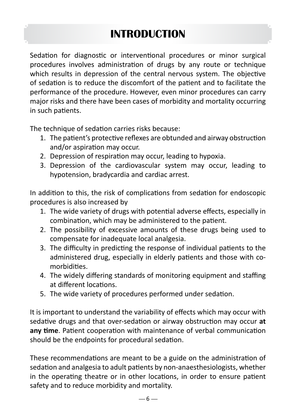# **INTRODUCTION**

Sedation for diagnostic or interventional procedures or minor surgical procedures involves administration of drugs by any route or technique which results in depression of the central nervous system. The objective of sedation is to reduce the discomfort of the patient and to facilitate the performance of the procedure. However, even minor procedures can carry major risks and there have been cases of morbidity and mortality occurring in such patients.

The technique of sedation carries risks because:

- 1. The patient's protective reflexes are obtunded and airway obstruction and/or aspiration may occur.
- 2. Depression of respiration may occur, leading to hypoxia.
- 3. Depression of the cardiovascular system may occur, leading to hypotension, bradycardia and cardiac arrest.

In addition to this, the risk of complications from sedation for endoscopic procedures is also increased by

- 1. The wide variety of drugs with potential adverse effects, especially in combination, which may be administered to the patient.
- 2. The possibility of excessive amounts of these drugs being used to compensate for inadequate local analgesia.
- 3. The difficulty in predicting the response of individual patients to the administered drug, especially in elderly patients and those with comorbidities.
- 4. The widely differing standards of monitoring equipment and staffing at different locations.
- 5. The wide variety of procedures performed under sedation.

It is important to understand the variability of effects which may occur with sedative drugs and that over-sedation or airway obstruction may occur **at any time**. Patient cooperation with maintenance of verbal communication should be the endpoints for procedural sedation.

These recommendations are meant to be a guide on the administration of sedation and analgesia to adult patients by non-anaesthesiologists, whether in the operating theatre or in other locations, in order to ensure patient safety and to reduce morbidity and mortality.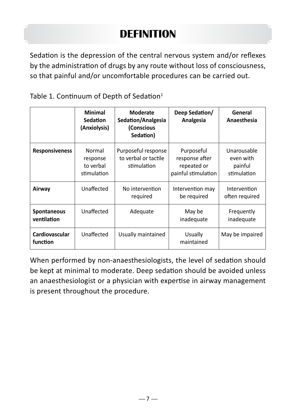# **DEFINITION**

Sedation is the depression of the central nervous system and/or reflexes by the administration of drugs by any route without loss of consciousness, so that painful and/or uncomfortable procedures can be carried out.

| Table 1. Continuum of Depth of Sedation $1$ |  |  |  |  |
|---------------------------------------------|--|--|--|--|
|---------------------------------------------|--|--|--|--|

|                                   | <b>Minimal</b><br><b>Sedation</b><br>(Anxiolysis) | Moderate<br>Sedation/Analgesia<br>(Conscious<br>Sedation)  | Deep Sedation/<br>Analgesia                                        | General<br>Anaesthesia                             |
|-----------------------------------|---------------------------------------------------|------------------------------------------------------------|--------------------------------------------------------------------|----------------------------------------------------|
| <b>Responsiveness</b>             | Normal<br>response<br>to verbal<br>stimulation    | Purposeful response<br>to verbal or tactile<br>stimulation | Purposeful<br>response after<br>repeated or<br>painful stimulation | Unarousable<br>even with<br>painful<br>stimulation |
| Airway                            | Unaffected                                        | No intervention<br>required                                | Intervention may<br>be required                                    | Intervention<br>often required                     |
| <b>Spontaneous</b><br>ventilation | Unaffected                                        | Adequate                                                   | May be<br>inadequate                                               | Frequently<br>inadequate                           |
| Cardiovascular<br>function        | Unaffected                                        | Usually maintained                                         | Usually<br>maintained                                              | May be impaired                                    |

When performed by non-anaesthesiologists, the level of sedation should be kept at minimal to moderate. Deep sedation should be avoided unless an anaesthesiologist or a physician with expertise in airway management is present throughout the procedure.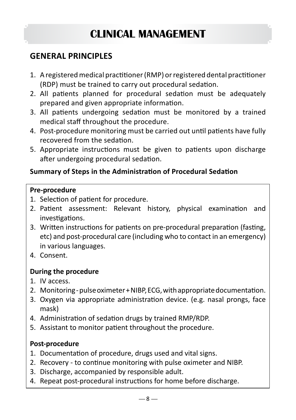# **CLINICAL MANAGEMENT**

#### **GENERAL PRINCIPLES**

- 1. A registered medical practitioner (RMP) or registered dental practitioner (RDP) must be trained to carry out procedural sedation.
- 2. All patients planned for procedural sedation must be adequately prepared and given appropriate information.
- 3. All patients undergoing sedation must be monitored by a trained medical staff throughout the procedure.
- 4. Post-procedure monitoring must be carried out until patients have fully recovered from the sedation.
- 5. Appropriate instructions must be given to patients upon discharge after undergoing procedural sedation.

#### **Summary of Steps in the Administration of Procedural Sedation**

#### **Pre-procedure**

- 1. Selection of patient for procedure.
- 2. Patient assessment: Relevant history, physical examination and investigations.
- 3. Written instructions for patients on pre-procedural preparation (fasting, etc) and post-procedural care (including who to contact in an emergency) in various languages.
- 4. Consent.

#### **During the procedure**

- 1. IV access.
- 2. Monitoring pulse oximeter + NIBP, ECG, with appropriate documentation.
- 3. Oxygen via appropriate administration device. (e.g. nasal prongs, face mask)
- 4. Administration of sedation drugs by trained RMP/RDP.
- 5. Assistant to monitor patient throughout the procedure.

#### **Post-procedure**

- 1. Documentation of procedure, drugs used and vital signs.
- 2. Recovery to continue monitoring with pulse oximeter and NIBP.
- 3. Discharge, accompanied by responsible adult.
- 4. Repeat post-procedural instructions for home before discharge.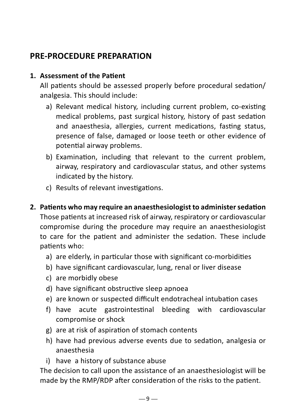#### **PRE-PROCEDURE PREPARATION**

#### **1. Assessment of the Patient**

All patients should be assessed properly before procedural sedation/ analgesia. This should include:

- a) Relevant medical history, including current problem, co-existing medical problems, past surgical history, history of past sedation and anaesthesia, allergies, current medications, fasting status, presence of false, damaged or loose teeth or other evidence of potential airway problems.
- b) Examination, including that relevant to the current problem, airway, respiratory and cardiovascular status, and other systems indicated by the history.
- c) Results of relevant investigations.

#### **2. Patients who may require an anaesthesiologist to administersedation**

Those patients at increased risk of airway, respiratory or cardiovascular compromise during the procedure may require an anaesthesiologist to care for the patient and administer the sedation. These include patients who:

- a) are elderly, in particular those with significant co-morbidities
- b) have significant cardiovascular, lung, renal or liver disease
- c) are morbidly obese
- d) have significant obstructive sleep apnoea
- e) are known or suspected difficult endotracheal intubation cases
- f) have acute gastrointestinal bleeding with cardiovascular compromise or shock
- g) are at risk of aspiration of stomach contents
- h) have had previous adverse events due to sedation, analgesia or anaesthesia
- i) have a history of substance abuse

The decision to call upon the assistance of an anaesthesiologist will be made by the RMP/RDP after consideration of the risks to the patient.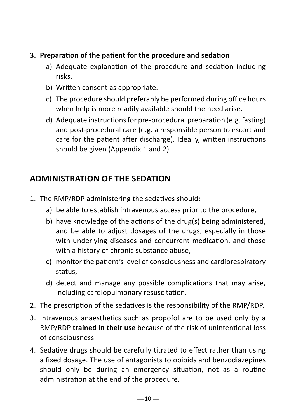#### **3. Preparation of the patient for the procedure and sedation**

- a) Adequate explanation of the procedure and sedation including risks.
- b) Written consent as appropriate.
- c) The procedure should preferably be performed during office hours when help is more readily available should the need arise.
- d) Adequate instructions for pre-procedural preparation (e.g. fasting) and post-procedural care (e.g. a responsible person to escort and care for the patient after discharge). Ideally, written instructions should be given (Appendix 1 and 2).

#### **ADMINISTRATION OF THE SEDATION**

- 1. The RMP/RDP administering the sedatives should:
	- a) be able to establish intravenous access prior to the procedure,
	- b) have knowledge of the actions of the drug(s) being administered, and be able to adjust dosages of the drugs, especially in those with underlying diseases and concurrent medication, and those with a history of chronic substance abuse,
	- c) monitor the patient's level of consciousness and cardiorespiratory status,
	- d) detect and manage any possible complications that may arise, including cardiopulmonary resuscitation.
- 2. The prescription of the sedatives is the responsibility of the RMP/RDP.
- 3. Intravenous anaesthetics such as propofol are to be used only by a RMP/RDP **trained in their use** because of the risk of unintentional loss of consciousness.
- 4. Sedative drugs should be carefully titrated to effect rather than using a fixed dosage. The use of antagonists to opioids and benzodiazepines should only be during an emergency situation, not as a routine administration at the end of the procedure.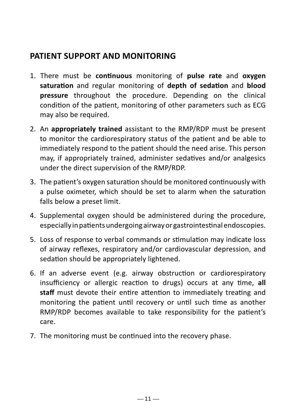#### **PATIENT SUPPORT AND MONITORING**

- 1. There must be **continuous** monitoring of **pulse rate** and **oxygen saturation** and regular monitoring of **depth of sedation** and **blood pressure** throughout the procedure. Depending on the clinical condition of the patient, monitoring of other parameters such as ECG may also be required.
- 2. An **appropriately trained** assistant to the RMP/RDP must be present to monitor the cardiorespiratory status of the patient and be able to immediately respond to the patient should the need arise. This person may, if appropriately trained, administer sedatives and/or analgesics under the direct supervision of the RMP/RDP.
- 3. The patient's oxygen saturation should be monitored continuously with a pulse oximeter, which should be set to alarm when the saturation falls below a preset limit.
- 4. Supplemental oxygen should be administered during the procedure, especially in patients undergoing airway or gastrointestinal endoscopies.
- 5. Loss of response to verbal commands or stimulation may indicate loss of airway reflexes, respiratory and/or cardiovascular depression, and sedation should be appropriately lightened.
- 6. If an adverse event (e.g. airway obstruction or cardiorespiratory insufficiency or allergic reaction to drugs) occurs at any time, **all staff** must devote their entire attention to immediately treating and monitoring the patient until recovery or until such time as another RMP/RDP becomes available to take responsibility for the patient's care.
- 7. The monitoring must be continued into the recovery phase.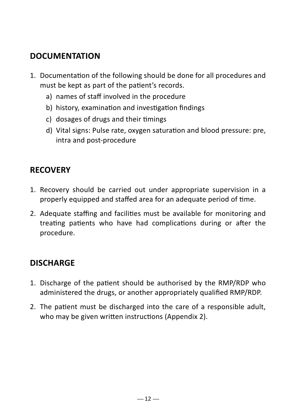#### **DOCUMENTATION**

- 1. Documentation of the following should be done for all procedures and must be kept as part of the patient's records.
	- a) names of staff involved in the procedure
	- b) history, examination and investigation findings
	- c) dosages of drugs and their timings
	- d) Vital signs: Pulse rate, oxygen saturation and blood pressure: pre, intra and post-procedure

#### **RECOVERY**

- 1. Recovery should be carried out under appropriate supervision in a properly equipped and staffed area for an adequate period of time.
- 2. Adequate staffing and facilities must be available for monitoring and treating patients who have had complications during or after the procedure.

#### **DISCHARGE**

- 1. Discharge of the patient should be authorised by the RMP/RDP who administered the drugs, or another appropriately qualified RMP/RDP.
- 2. The patient must be discharged into the care of a responsible adult, who may be given written instructions (Appendix 2).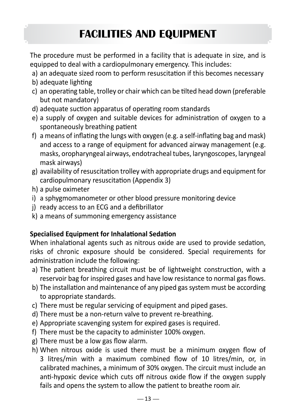# **FACILITIES AND EQUIPMENT**

The procedure must be performed in a facility that is adequate in size, and is equipped to deal with a cardiopulmonary emergency. This includes:

- a) an adequate sized room to perform resuscitation if this becomes necessary
- b) adequate lighting
- c) an operating table, trolley or chair which can be tilted head down (preferable but not mandatory)
- d) adequate suction apparatus of operating room standards
- e) a supply of oxygen and suitable devices for administration of oxygen to a spontaneously breathing patient
- f) a means of inflating the lungs with oxygen (e.g. a self-inflating bag and mask) and access to a range of equipment for advanced airway management (e.g. masks, oropharyngeal airways, endotracheal tubes, laryngoscopes, laryngeal mask airways)
- g) availability of resuscitation trolley with appropriate drugs and equipment for cardiopulmonary resuscitation (Appendix 3)
- h) a pulse oximeter
- i) a sphygmomanometer or other blood pressure monitoring device
- j) ready access to an ECG and a defibrillator
- k) a means of summoning emergency assistance

#### **Specialised Equipment for Inhalational Sedation**

When inhalational agents such as nitrous oxide are used to provide sedation, risks of chronic exposure should be considered. Special requirements for administration include the following:

- a) The patient breathing circuit must be of lightweight construction, with a reservoir bag for inspired gases and have low resistance to normal gas flows.
- b) The installation and maintenance of any piped gas system must be according to appropriate standards.
- c) There must be regular servicing of equipment and piped gases.
- d) There must be a non-return valve to prevent re-breathing.
- e) Appropriate scavenging system for expired gases is required.
- f) There must be the capacity to administer 100% oxygen.
- g) There must be a low gas flow alarm.
- h) When nitrous oxide is used there must be a minimum oxygen flow of 3 litres/min with a maximum combined flow of 10 litres/min, or, in calibrated machines, a minimum of 30% oxygen. The circuit must include an anti-hypoxic device which cuts off nitrous oxide flow if the oxygen supply fails and opens the system to allow the patient to breathe room air.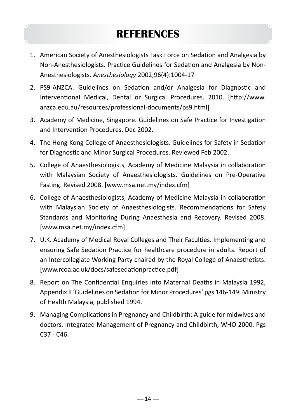# **REFERENCES**

- 1. American Society of Anesthesiologists Task Force on Sedation and Analgesia by Non-Anesthesiologists. Practice Guidelines for Sedation and Analgesia by Non-Anesthesiologists. *Anesthesiology* 2002;96(4):1004-17
- 2. PS9-ANZCA. Guidelines on Sedation and/or Analgesia for Diagnostic and Interventional Medical, Dental or Surgical Procedures. 2010. [http://www. anzca.edu.au/resources/professional-documents/ps9.html]
- 3. Academy of Medicine, Singapore. Guidelines on Safe Practice for Investigation and Intervention Procedures. Dec 2002.
- 4. The Hong Kong College of Anaesthesiologists. Guidelines for Safety in Sedation for Diagnostic and Minor Surgical Procedures. Reviewed Feb 2002.
- 5. College of Anaesthesiologists, Academy of Medicine Malaysia in collaboration with Malaysian Society of Anaesthesiologists. Guidelines on Pre-Operative Fasting. Revised 2008. [www.msa.net.my/index.cfm]
- 6. College of Anaesthesiologists, Academy of Medicine Malaysia in collaboration with Malaysian Society of Anaesthesiologists. Recommendations for Safety Standards and Monitoring During Anaesthesia and Recovery. Revised 2008. [www.msa.net.my/index.cfm]
- 7. U.K. Academy of Medical Royal Colleges and Their Faculties. Implementing and ensuring Safe Sedation Practice for healthcare procedure in adults. Report of an Intercollegiate Working Party chaired by the Royal College of Anaesthetists. [www.rcoa.ac.uk/docs/safesedationpractice.pdf]
- 8. Report on The Confidential Enquiries into Maternal Deaths in Malaysia 1992, Appendix II 'Guidelines on Sedation for Minor Procedures' pgs 146-149. Ministry of Health Malaysia, published 1994.
- 9. Managing Complications in Pregnancy and Childbirth: A guide for midwives and doctors. Integrated Management of Pregnancy and Childbirth, WHO 2000. Pgs C37 - C46.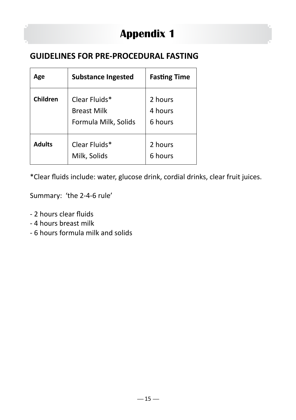# **Appendix 1**

#### **GUIDELINES FOR PRE-PROCEDURAL FASTING**

| Age             | <b>Substance Ingested</b>                                   | <b>Fasting Time</b>           |
|-----------------|-------------------------------------------------------------|-------------------------------|
| <b>Children</b> | Clear Fluids*<br><b>Breast Milk</b><br>Formula Milk, Solids | 2 hours<br>4 hours<br>6 hours |
| <b>Adults</b>   | Clear Fluids*<br>Milk, Solids                               | 2 hours<br>6 hours            |

\*Clear fluids include: water, glucose drink, cordial drinks, clear fruit juices.

Summary: 'the 2-4-6 rule'

- 2 hours clear fluids
- 4 hours breast milk
- 6 hours formula milk and solids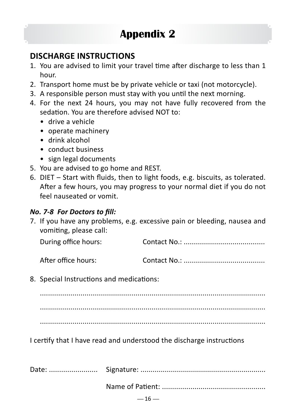#### **DISCHARGE INSTRUCTIONS**

- 1. You are advised to limit your travel time after discharge to less than 1 hour.
- 2. Transport home must be by private vehicle or taxi (not motorcycle).
- 3. A responsible person must stay with you until the next morning.
- 4. For the next 24 hours, you may not have fully recovered from the sedation. You are therefore advised NOT to:
	- drive a vehicle
	- operate machinery
	- drink alcohol
	- conduct business
	- sign legal documents
- 5. You are advised to go home and REST.
- 6. DIET Start with fluids, then to light foods, e.g. biscuits, as tolerated. After a few hours, you may progress to your normal diet if you do not feel nauseated or vomit.

#### *No. 7-8 For Doctors to fill:*

7. If you have any problems, e.g. excessive pain or bleeding, nausea and vomiting, please call:

| During office hours: |  |
|----------------------|--|
|----------------------|--|

After office hours: Contact No.: ........................................

8. Special Instructions and medications:

............................................................................................................... ............................................................................................................... ...............................................................................................................

I certify that I have read and understood the discharge instructions